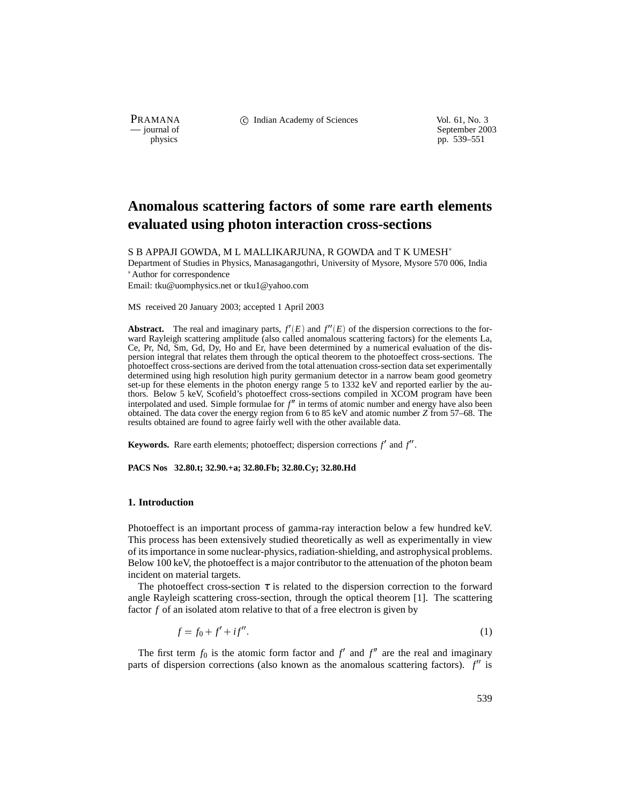PRAMANA C Indian Academy of Sciences Vol. 61, No. 3<br>
— journal of September 200

purnal of September 2003<br>
physics properties and the september 2003<br>
pp. 539–551 pp. 539–551

# **Anomalous scattering factors of some rare earth elements evaluated using photon interaction cross-sections**

S B APPAJI GOWDA, M L MALLIKARJUNA, R GOWDA and T K UMESH

Department of Studies in Physics, Manasagangothri, University of Mysore, Mysore 570 006, India Author for correspondence

Email: tku@uomphysics.net or tku1@yahoo.com

MS received 20 January 2003; accepted 1 April 2003

**Abstract.** The real and imaginary parts,  $f'(E)$  and  $f''(E)$  of the dispersion corrections to the forward Rayleigh scattering amplitude (also called anomalous scattering factors) for the elements La, Ce, Pr, Nd, Sm, Gd, Dy, Ho and Er, have been determined by a numerical evaluation of the dispersion integral that relates them through the optical theorem to the photoeffect cross-sections. The photoeffect cross-sections are derived from the total attenuation cross-section data set experimentally determined using high resolution high purity germanium detector in a narrow beam good geometry set-up for these elements in the photon energy range 5 to 1332 keV and reported earlier by the authors. Below 5 keV, Scofield's photoeffect cross-sections compiled in XCOM program have been interpolated and used. Simple formulae for  $f''$  in terms of atomic number and energy have also been obtained. The data cover the energy region from 6 to 85 keV and atomic number *Z* from 57–68. The results obtained are found to agree fairly well with the other available data.

**Keywords.** Rare earth elements; photoeffect; dispersion corrections  $f'$  and  $f''$ .

**PACS Nos 32.80.t; 32.90.+a; 32.80.Fb; 32.80.Cy; 32.80.Hd**

#### **1. Introduction**

Photoeffect is an important process of gamma-ray interaction below a few hundred keV. This process has been extensively studied theoretically as well as experimentally in view of its importance in some nuclear-physics, radiation-shielding, and astrophysical problems. Below 100 keV, the photoeffect is a major contributor to the attenuation of the photon beam incident on material targets.

The photoeffect cross-section  $\tau$  is related to the dispersion correction to the forward angle Rayleigh scattering cross-section, through the optical theorem [1]. The scattering factor *f* of an isolated atom relative to that of a free electron is given by

$$
f = f_0 + f' + if''.
$$
 (1)

The first term  $f_0$  is the atomic form factor and  $f'$  and  $f''$  are the real and imaginary parts of dispersion corrections (also known as the anomalous scattering factors).  $f''$  is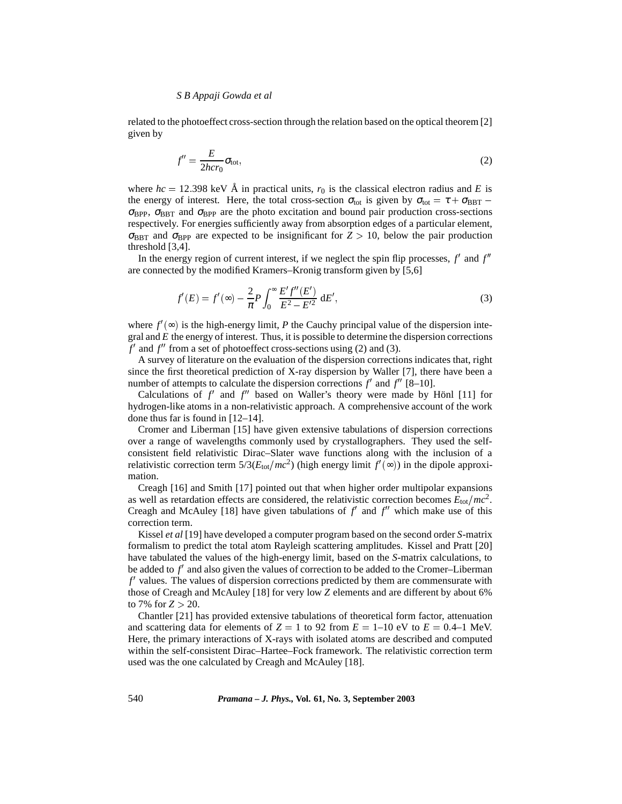related to the photoeffect cross-section through the relation based on the optical theorem [2] given by

$$
f'' = \frac{E}{2hc r_0} \sigma_{\text{tot}},\tag{2}
$$

where  $hc = 12.398$  keV Å in practical units,  $r_0$  is the classical electron radius and E is the energy of interest. Here, the total cross-section  $\sigma_{\text{tot}}$  is given by  $\sigma_{\text{tot}} = \tau + \sigma_{\text{BBT}}$  $\sigma_{\text{BPP}}$ ,  $\sigma_{\text{BBT}}$  and  $\sigma_{\text{BPP}}$  are the photo excitation and bound pair production cross-sections respectively. For energies sufficiently away from absorption edges of a particular element,  $\sigma_{\rm BBT}$  and  $\sigma_{\rm BPP}$  are expected to be insignificant for  $Z > 10$ , below the pair production threshold [3,4].

In the energy region of current interest, if we neglect the spin flip processes,  $f'$  and  $f''$ are connected by the modified Kramers–Kronig transform given by [5,6]

$$
f'(E) = f'(\infty) - \frac{2}{\pi} P \int_0^\infty \frac{E' f''(E')}{E^2 - E'^2} \, dE',\tag{3}
$$

where  $f'(\infty)$  is the high-energy limit, *P* the Cauchy principal value of the dispersion integral and *E* the energy of interest. Thus, it is possible to determine the dispersion corrections  $f'$  and  $f''$  from a set of photoeffect cross-sections using (2) and (3).

A survey of literature on the evaluation of the dispersion corrections indicates that, right since the first theoretical prediction of X-ray dispersion by Waller [7], there have been a number of attempts to calculate the dispersion corrections  $f'$  and  $f''$  [8–10].

Calculations of  $f'$  and  $f''$  based on Waller's theory were made by Hönl [11] for hydrogen-like atoms in a non-relativistic approach. A comprehensive account of the work done thus far is found in [12–14].

Cromer and Liberman [15] have given extensive tabulations of dispersion corrections over a range of wavelengths commonly used by crystallographers. They used the selfconsistent field relativistic Dirac–Slater wave functions along with the inclusion of a relativistic correction term  $5/3(E_{\text{tot}}/mc^2)$  (high energy limit  $f'(\infty)$ ) in the dipole approximation.

Creagh [16] and Smith [17] pointed out that when higher order multipolar expansions as well as retardation effects are considered, the relativistic correction becomes  $E_{\text{tot}}/mc^2$ . Creagh and McAuley [18] have given tabulations of  $f'$  and  $f''$  which make use of this correction term.

Kissel *et al* [19] have developed a computer program based on the second order *S*-matrix formalism to predict the total atom Rayleigh scattering amplitudes. Kissel and Pratt [20] have tabulated the values of the high-energy limit, based on the *S*-matrix calculations, to be added to  $f'$  and also given the values of correction to be added to the Cromer–Liberman f' values. The values of dispersion corrections predicted by them are commensurate with those of Creagh and McAuley [18] for very low *Z* elements and are different by about 6% to 7% for  $Z > 20$ .

Chantler [21] has provided extensive tabulations of theoretical form factor, attenuation and scattering data for elements of  $Z = 1$  to 92 from  $E = 1-10$  eV to  $E = 0.4-1$  MeV. Here, the primary interactions of X-rays with isolated atoms are described and computed within the self-consistent Dirac–Hartee–Fock framework. The relativistic correction term used was the one calculated by Creagh and McAuley [18].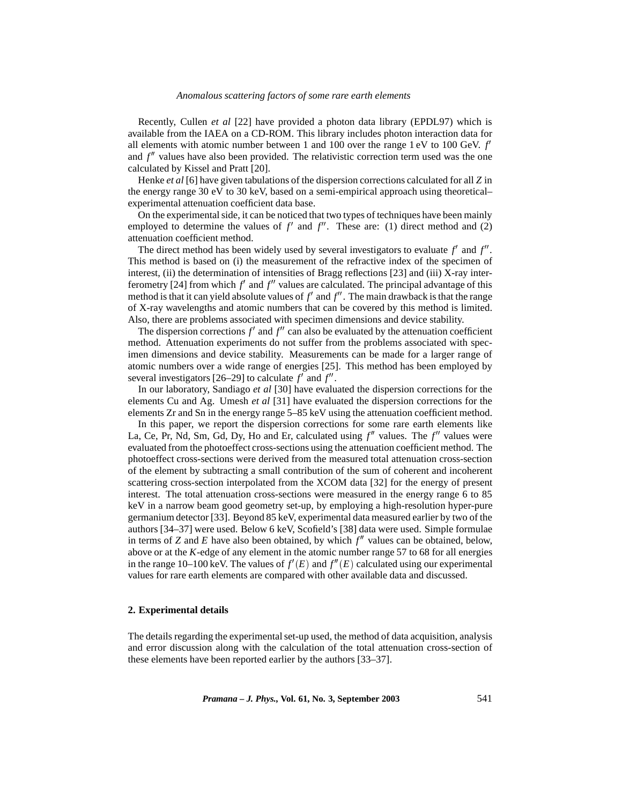Recently, Cullen *et al* [22] have provided a photon data library (EPDL97) which is available from the IAEA on a CD-ROM. This library includes photon interaction data for all elements with atomic number between 1 and 100 over the range  $1 \text{ eV}$  to 100 GeV.  $f'$ and  $f''$  values have also been provided. The relativistic correction term used was the one calculated by Kissel and Pratt [20].

Henke *et al* [6] have given tabulations of the dispersion corrections calculated for all *Z* in the energy range 30 eV to 30 keV, based on a semi-empirical approach using theoretical– experimental attenuation coefficient data base.

On the experimental side, it can be noticed that two types of techniques have been mainly employed to determine the values of  $f'$  and  $f''$ . These are: (1) direct method and (2) attenuation coefficient method.

The direct method has been widely used by several investigators to evaluate  $f'$  and  $f''$ . This method is based on (i) the measurement of the refractive index of the specimen of interest, (ii) the determination of intensities of Bragg reflections [23] and (iii) X-ray interferometry [24] from which  $f'$  and  $f''$  values are calculated. The principal advantage of this method is that it can yield absolute values of  $f'$  and  $f''$ . The main drawback is that the range of X-ray wavelengths and atomic numbers that can be covered by this method is limited. Also, there are problems associated with specimen dimensions and device stability.

The dispersion corrections  $f'$  and  $f''$  can also be evaluated by the attenuation coefficient method. Attenuation experiments do not suffer from the problems associated with specimen dimensions and device stability. Measurements can be made for a larger range of atomic numbers over a wide range of energies [25]. This method has been employed by several investigators  $[26-29]$  to calculate  $f'$  and  $f''$ .

In our laboratory, Sandiago *et al* [30] have evaluated the dispersion corrections for the elements Cu and Ag. Umesh *et al* [31] have evaluated the dispersion corrections for the elements Zr and Sn in the energy range 5–85 keV using the attenuation coefficient method.

In this paper, we report the dispersion corrections for some rare earth elements like La, Ce, Pr, Nd, Sm, Gd, Dy, Ho and Er, calculated using  $f''$  values. The  $f''$  values were evaluated from the photoeffect cross-sections using the attenuation coefficient method. The photoeffect cross-sections were derived from the measured total attenuation cross-section of the element by subtracting a small contribution of the sum of coherent and incoherent scattering cross-section interpolated from the XCOM data [32] for the energy of present interest. The total attenuation cross-sections were measured in the energy range 6 to 85 keV in a narrow beam good geometry set-up, by employing a high-resolution hyper-pure germanium detector [33]. Beyond 85 keV, experimental data measured earlier by two of the authors [34–37] were used. Below 6 keV, Scofield's [38] data were used. Simple formulae in terms of *Z* and *E* have also been obtained, by which  $f''$  values can be obtained, below, above or at the *K*-edge of any element in the atomic number range 57 to 68 for all energies in the range 10–100 keV. The values of  $f'(E)$  and  $f''(E)$  calculated using our experimental values for rare earth elements are compared with other available data and discussed.

#### **2. Experimental details**

The details regarding the experimental set-up used, the method of data acquisition, analysis and error discussion along with the calculation of the total attenuation cross-section of these elements have been reported earlier by the authors [33–37].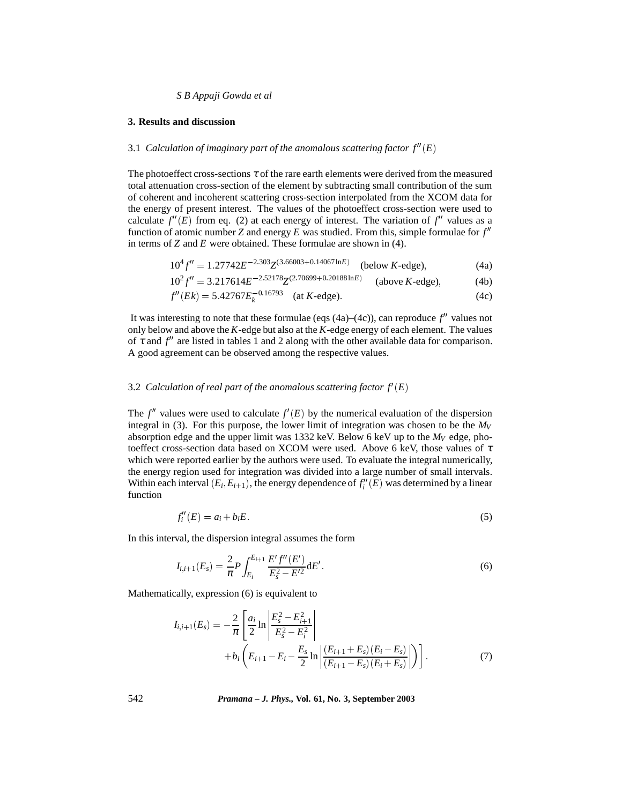#### **3. Results and discussion**

#### 3.1 Calculation of imaginary part of the anomalous scattering factor  $f''(E)$

The photoeffect cross-sections  $\tau$  of the rare earth elements were derived from the measured total attenuation cross-section of the element by subtracting small contribution of the sum of coherent and incoherent scattering cross-section interpolated from the XCOM data for the energy of present interest. The values of the photoeffect cross-section were used to calculate  $f''(E)$  from eq. (2) at each energy of interest. The variation of  $f''$  values as a function of atomic number *Z* and energy *E* was studied. From this, simple formulae for  $f''$ in terms of *Z* and *E* were obtained. These formulae are shown in (4).

$$
10^4 f'' = 1.27742 E^{-2.303} Z^{(3.66003 + 0.14067 \ln E)} \quad \text{(below } K\text{-edge)},\tag{4a}
$$

$$
10^{2} f'' = 3.217614E^{-2.52178} Z^{(2.70699 + 0.20188 \ln E)} \quad \text{(above } K\text{-edge)},\tag{4b}
$$

$$
f''(Ek) = 5.42767E_k^{-0.16793} \quad \text{(at } K\text{-edge)}.
$$
 (4c)

It was interesting to note that these formulae (eqs  $(4a)$ – $(4c)$ ), can reproduce  $f''$  values not only below and above the *K*-edge but also at the *K*-edge energy of each element. The values of  $\tau$  and  $f''$  are listed in tables 1 and 2 along with the other available data for comparison. A good agreement can be observed among the respective values.

#### 3.2 Calculation of real part of the anomalous scattering factor  $f'(E)$

The  $f''$  values were used to calculate  $f'(E)$  by the numerical evaluation of the dispersion integral in (3). For this purpose, the lower limit of integration was chosen to be the  $M_V$ absorption edge and the upper limit was  $1332 \text{ keV}$ . Below 6 keV up to the  $M_V$  edge, photoeffect cross-section data based on XCOM were used. Above 6 keV, those values of  $\tau$ which were reported earlier by the authors were used. To evaluate the integral numerically, the energy region used for integration was divided into a large number of small intervals. Within each interval  $(E_i, E_{i+1})$ , the energy dependence of  $f''_i(E)$  was determined by a linear function

$$
f_i''(E) = a_i + b_i E. \tag{5}
$$

In this interval, the dispersion integral assumes the form

$$
I_{i,i+1}(E_s) = \frac{2}{\pi} P \int_{E_i}^{E_{i+1}} \frac{E' f''(E')}{E_s^2 - E'^2} dE'.
$$
 (6)

Mathematically, expression (6) is equivalent to

$$
I_{i,i+1}(E_s) = -\frac{2}{\pi} \left[ \frac{a_i}{2} \ln \left| \frac{E_s^2 - E_{i+1}^2}{E_s^2 - E_i^2} \right| + b_i \left( E_{i+1} - E_i - \frac{E_s}{2} \ln \left| \frac{(E_{i+1} + E_s)(E_i - E_s)}{(E_{i+1} - E_s)(E_i + E_s)} \right| \right) \right].
$$
 (7)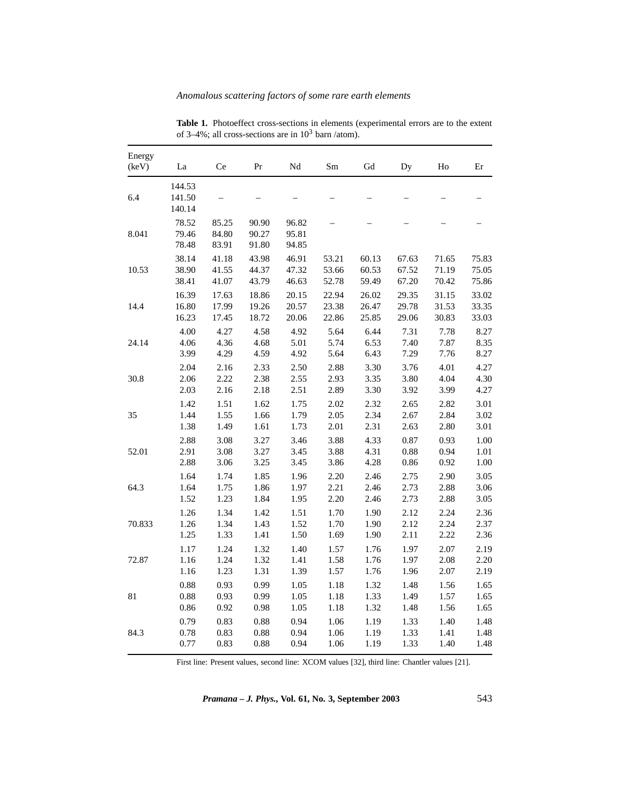| Energy<br>(keV) | La                         | Ce                      | Pr                      | Nd                      | Sm    | ${\rm Gd}$ | Dy    | Ho    | Er    |
|-----------------|----------------------------|-------------------------|-------------------------|-------------------------|-------|------------|-------|-------|-------|
| 6.4             | 144.53<br>141.50<br>140.14 |                         |                         |                         |       |            |       |       |       |
| 8.041           | 78.52<br>79.46<br>78.48    | 85.25<br>84.80<br>83.91 | 90.90<br>90.27<br>91.80 | 96.82<br>95.81<br>94.85 |       |            |       |       |       |
| 10.53           | 38.14                      | 41.18                   | 43.98                   | 46.91                   | 53.21 | 60.13      | 67.63 | 71.65 | 75.83 |
|                 | 38.90                      | 41.55                   | 44.37                   | 47.32                   | 53.66 | 60.53      | 67.52 | 71.19 | 75.05 |
|                 | 38.41                      | 41.07                   | 43.79                   | 46.63                   | 52.78 | 59.49      | 67.20 | 70.42 | 75.86 |
| 14.4            | 16.39                      | 17.63                   | 18.86                   | 20.15                   | 22.94 | 26.02      | 29.35 | 31.15 | 33.02 |
|                 | 16.80                      | 17.99                   | 19.26                   | 20.57                   | 23.38 | 26.47      | 29.78 | 31.53 | 33.35 |
|                 | 16.23                      | 17.45                   | 18.72                   | 20.06                   | 22.86 | 25.85      | 29.06 | 30.83 | 33.03 |
| 24.14           | 4.00                       | 4.27                    | 4.58                    | 4.92                    | 5.64  | 6.44       | 7.31  | 7.78  | 8.27  |
|                 | 4.06                       | 4.36                    | 4.68                    | 5.01                    | 5.74  | 6.53       | 7.40  | 7.87  | 8.35  |
|                 | 3.99                       | 4.29                    | 4.59                    | 4.92                    | 5.64  | 6.43       | 7.29  | 7.76  | 8.27  |
| 30.8            | 2.04                       | 2.16                    | 2.33                    | 2.50                    | 2.88  | 3.30       | 3.76  | 4.01  | 4.27  |
|                 | 2.06                       | 2.22                    | 2.38                    | 2.55                    | 2.93  | 3.35       | 3.80  | 4.04  | 4.30  |
|                 | 2.03                       | 2.16                    | 2.18                    | 2.51                    | 2.89  | 3.30       | 3.92  | 3.99  | 4.27  |
| 35              | 1.42                       | 1.51                    | 1.62                    | 1.75                    | 2.02  | 2.32       | 2.65  | 2.82  | 3.01  |
|                 | 1.44                       | 1.55                    | 1.66                    | 1.79                    | 2.05  | 2.34       | 2.67  | 2.84  | 3.02  |
|                 | 1.38                       | 1.49                    | 1.61                    | 1.73                    | 2.01  | 2.31       | 2.63  | 2.80  | 3.01  |
| 52.01           | 2.88                       | 3.08                    | 3.27                    | 3.46                    | 3.88  | 4.33       | 0.87  | 0.93  | 1.00  |
|                 | 2.91                       | 3.08                    | 3.27                    | 3.45                    | 3.88  | 4.31       | 0.88  | 0.94  | 1.01  |
|                 | 2.88                       | 3.06                    | 3.25                    | 3.45                    | 3.86  | 4.28       | 0.86  | 0.92  | 1.00  |
| 64.3            | 1.64                       | 1.74                    | 1.85                    | 1.96                    | 2.20  | 2.46       | 2.75  | 2.90  | 3.05  |
|                 | 1.64                       | 1.75                    | 1.86                    | 1.97                    | 2.21  | 2.46       | 2.73  | 2.88  | 3.06  |
|                 | 1.52                       | 1.23                    | 1.84                    | 1.95                    | 2.20  | 2.46       | 2.73  | 2.88  | 3.05  |
| 70.833          | 1.26                       | 1.34                    | 1.42                    | 1.51                    | 1.70  | 1.90       | 2.12  | 2.24  | 2.36  |
|                 | 1.26                       | 1.34                    | 1.43                    | 1.52                    | 1.70  | 1.90       | 2.12  | 2.24  | 2.37  |
|                 | 1.25                       | 1.33                    | 1.41                    | 1.50                    | 1.69  | 1.90       | 2.11  | 2.22  | 2.36  |
| 72.87           | 1.17                       | 1.24                    | 1.32                    | 1.40                    | 1.57  | 1.76       | 1.97  | 2.07  | 2.19  |
|                 | 1.16                       | 1.24                    | 1.32                    | 1.41                    | 1.58  | 1.76       | 1.97  | 2.08  | 2.20  |
|                 | 1.16                       | 1.23                    | 1.31                    | 1.39                    | 1.57  | 1.76       | 1.96  | 2.07  | 2.19  |
| 81              | 0.88                       | 0.93                    | 0.99                    | 1.05                    | 1.18  | 1.32       | 1.48  | 1.56  | 1.65  |
|                 | 0.88                       | 0.93                    | 0.99                    | 1.05                    | 1.18  | 1.33       | 1.49  | 1.57  | 1.65  |
|                 | 0.86                       | 0.92                    | 0.98                    | 1.05                    | 1.18  | 1.32       | 1.48  | 1.56  | 1.65  |
| 84.3            | 0.79                       | 0.83                    | 0.88                    | 0.94                    | 1.06  | 1.19       | 1.33  | 1.40  | 1.48  |
|                 | 0.78                       | 0.83                    | 0.88                    | 0.94                    | 1.06  | 1.19       | 1.33  | 1.41  | 1.48  |
|                 | 0.77                       | 0.83                    | 0.88                    | 0.94                    | 1.06  | 1.19       | 1.33  | 1.40  | 1.48  |

**Table 1.** Photoeffect cross-sections in elements (experimental errors are to the extent of 3–4%; all cross-sections are in  $10^3$  barn /atom).

First line: Present values, second line: XCOM values [32], third line: Chantler values [21].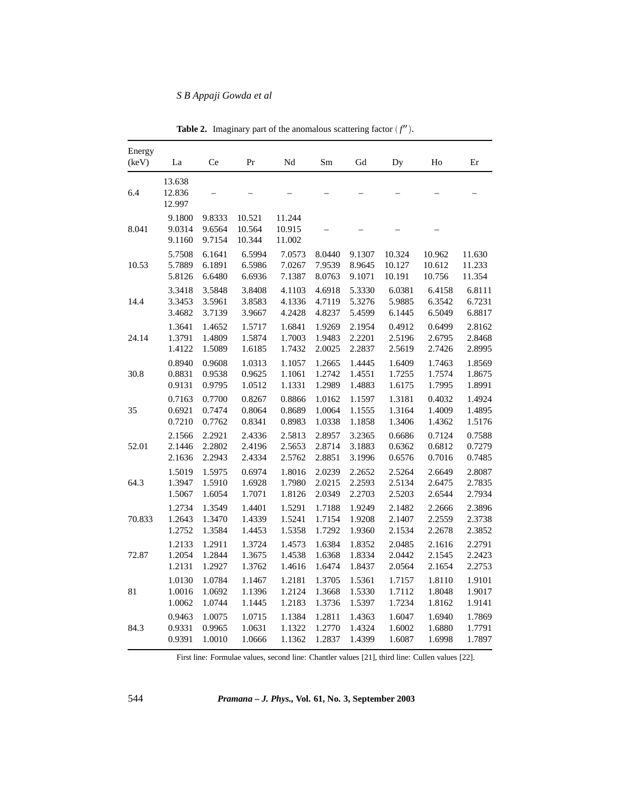| Energy<br>(keV) | La                         | Ce                         | Pr                         | Nd                         | Sm     | Gd     | Dy     | Ho     | Er     |
|-----------------|----------------------------|----------------------------|----------------------------|----------------------------|--------|--------|--------|--------|--------|
| 6.4             | 13.638<br>12.836<br>12.997 |                            |                            |                            |        |        |        |        |        |
| 8.041           | 9.1800<br>9.0314<br>9.1160 | 9.8333<br>9.6564<br>9.7154 | 10.521<br>10.564<br>10.344 | 11.244<br>10.915<br>11.002 |        |        |        |        |        |
| 10.53           | 5.7508                     | 6.1641                     | 6.5994                     | 7.0573                     | 8.0440 | 9.1307 | 10.324 | 10.962 | 11.630 |
|                 | 5.7889                     | 6.1891                     | 6.5986                     | 7.0267                     | 7.9539 | 8.9645 | 10.127 | 10.612 | 11.233 |
|                 | 5.8126                     | 6.6480                     | 6.6936                     | 7.1387                     | 8.0763 | 9.1071 | 10.191 | 10.756 | 11.354 |
| 14.4            | 3.3418                     | 3.5848                     | 3.8408                     | 4.1103                     | 4.6918 | 5.3330 | 6.0381 | 6.4158 | 6.8111 |
|                 | 3.3453                     | 3.5961                     | 3.8583                     | 4.1336                     | 4.7119 | 5.3276 | 5.9885 | 6.3542 | 6.7231 |
|                 | 3.4682                     | 3.7139                     | 3.9667                     | 4.2428                     | 4.8237 | 5.4599 | 6.1445 | 6.5049 | 6.8817 |
| 24.14           | 1.3641                     | 1.4652                     | 1.5717                     | 1.6841                     | 1.9269 | 2.1954 | 0.4912 | 0.6499 | 2.8162 |
|                 | 1.3791                     | 1.4809                     | 1.5874                     | 1.7003                     | 1.9483 | 2.2201 | 2.5196 | 2.6795 | 2.8468 |
|                 | 1.4122                     | 1.5089                     | 1.6185                     | 1.7432                     | 2.0025 | 2.2837 | 2.5619 | 2.7426 | 2.8995 |
| 30.8            | 0.8940                     | 0.9608                     | 1.0313                     | 1.1057                     | 1.2665 | 1.4445 | 1.6409 | 1.7463 | 1.8569 |
|                 | 0.8831                     | 0.9538                     | 0.9625                     | 1.1061                     | 1.2742 | 1.4551 | 1.7255 | 1.7574 | 1.8675 |
|                 | 0.9131                     | 0.9795                     | 1.0512                     | 1.1331                     | 1.2989 | 1.4883 | 1.6175 | 1.7995 | 1.8991 |
| 35              | 0.7163                     | 0.7700                     | 0.8267                     | 0.8866                     | 1.0162 | 1.1597 | 1.3181 | 0.4032 | 1.4924 |
|                 | 0.6921                     | 0.7474                     | 0.8064                     | 0.8689                     | 1.0064 | 1.1555 | 1.3164 | 1.4009 | 1.4895 |
|                 | 0.7210                     | 0.7762                     | 0.8341                     | 0.8983                     | 1.0338 | 1.1858 | 1.3406 | 1.4362 | 1.5176 |
| 52.01           | 2.1566                     | 2.2921                     | 2.4336                     | 2.5813                     | 2.8957 | 3.2365 | 0.6686 | 0.7124 | 0.7588 |
|                 | 2.1446                     | 2.2802                     | 2.4196                     | 2.5653                     | 2.8714 | 3.1883 | 0.6362 | 0.6812 | 0.7279 |
|                 | 2.1636                     | 2.2943                     | 2.4334                     | 2.5762                     | 2.8851 | 3.1996 | 0.6576 | 0.7016 | 0.7485 |
| 64.3            | 1.5019                     | 1.5975                     | 0.6974                     | 1.8016                     | 2.0239 | 2.2652 | 2.5264 | 2.6649 | 2.8087 |
|                 | 1.3947                     | 1.5910                     | 1.6928                     | 1.7980                     | 2.0215 | 2.2593 | 2.5134 | 2.6475 | 2.7835 |
|                 | 1.5067                     | 1.6054                     | 1.7071                     | 1.8126                     | 2.0349 | 2.2703 | 2.5203 | 2.6544 | 2.7934 |
| 70.833          | 1.2734                     | 1.3549                     | 1.4401                     | 1.5291                     | 1.7188 | 1.9249 | 2.1482 | 2.2666 | 2.3896 |
|                 | 1.2643                     | 1.3470                     | 1.4339                     | 1.5241                     | 1.7154 | 1.9208 | 2.1407 | 2.2559 | 2.3738 |
|                 | 1.2752                     | 1.3584                     | 1.4453                     | 1.5358                     | 1.7292 | 1.9360 | 2.1534 | 2.2678 | 2.3852 |
| 72.87           | 1.2133                     | 1.2911                     | 1.3724                     | 1.4573                     | 1.6384 | 1.8352 | 2.0485 | 2.1616 | 2.2791 |
|                 | 1.2054                     | 1.2844                     | 1.3675                     | 1.4538                     | 1.6368 | 1.8334 | 2.0442 | 2.1545 | 2.2423 |
|                 | 1.2131                     | 1.2927                     | 1.3762                     | 1.4616                     | 1.6474 | 1.8437 | 2.0564 | 2.1654 | 2.2753 |
| 81              | 1.0130                     | 1.0784                     | 1.1467                     | 1.2181                     | 1.3705 | 1.5361 | 1.7157 | 1.8110 | 1.9101 |
|                 | 1.0016                     | 1.0692                     | 1.1396                     | 1.2124                     | 1.3668 | 1.5330 | 1.7112 | 1.8048 | 1.9017 |
|                 | 1.0062                     | 1.0744                     | 1.1445                     | 1.2183                     | 1.3736 | 1.5397 | 1.7234 | 1.8162 | 1.9141 |
| 84.3            | 0.9463                     | 1.0075                     | 1.0715                     | 1.1384                     | 1.2811 | 1.4363 | 1.6047 | 1.6940 | 1.7869 |
|                 | 0.9331                     | 0.9965                     | 1.0631                     | 1.1322                     | 1.2770 | 1.4324 | 1.6002 | 1.6880 | 1.7791 |
|                 | 0.9391                     | 1.0010                     | 1.0666                     | 1.1362                     | 1.2837 | 1.4399 | 1.6087 | 1.6998 | 1.7897 |

**Table 2.** Imaginary part of the anomalous scattering factor  $(f'')$ .

First line: Formulae values, second line: Chantler values [21], third line: Cullen values [22].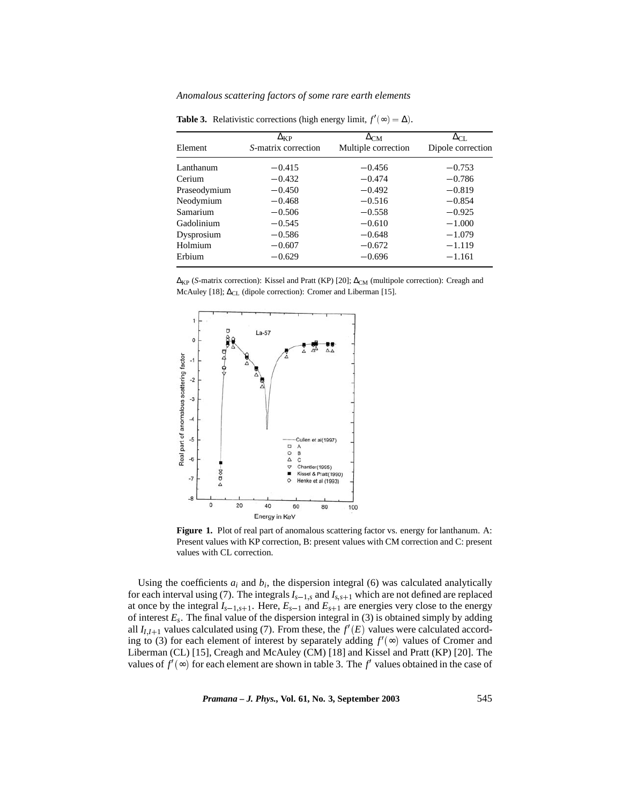| Element      | $\Delta_{\rm KP}$<br>S-matrix correction | $\Delta_{CM}$<br>Multiple correction | $\Delta_{\rm CL}$<br>Dipole correction |
|--------------|------------------------------------------|--------------------------------------|----------------------------------------|
|              |                                          |                                      |                                        |
| Lanthanum    | $-0.415$                                 | $-0.456$                             | $-0.753$                               |
| Cerium       | $-0.432$                                 | $-0.474$                             | $-0.786$                               |
| Praseodymium | $-0.450$                                 | $-0.492$                             | $-0.819$                               |
| Neodymium    | $-0.468$                                 | $-0.516$                             | $-0.854$                               |
| Samarium     | $-0.506$                                 | $-0.558$                             | $-0.925$                               |
| Gadolinium   | $-0.545$                                 | $-0.610$                             | $-1.000$                               |
| Dysprosium   | $-0.586$                                 | $-0.648$                             | $-1.079$                               |
| Holmium      | $-0.607$                                 | $-0.672$                             | $-1.119$                               |
| Erbium       | $-0.629$                                 | $-0.696$                             | $-1.161$                               |

**Table 3.** Relativistic corrections (high energy limit,  $f'(\infty) = \Delta$ ).

 $\Delta_{KP}$  (*S*-matrix correction): Kissel and Pratt (KP) [20];  $\Delta_{CM}$  (multipole correction): Creagh and McAuley [18]; ∆<sub>CL</sub> (dipole correction): Cromer and Liberman [15].



**Figure 1.** Plot of real part of anomalous scattering factor vs. energy for lanthanum. A: Present values with KP correction, B: present values with CM correction and C: present values with CL correction.

Using the coefficients  $a_i$  and  $b_i$ , the dispersion integral (6) was calculated analytically for each interval using (7). The integrals  $I_{s-1,s}$  and  $I_{s,s+1}$  which are not defined are replaced at once by the integral  $I_{s-1,s+1}$ . Here,  $E_{s-1}$  and  $E_{s+1}$  are energies very close to the energy of interest  $E_s$ . The final value of the dispersion integral in (3) is obtained simply by adding all  $I_{I,I+1}$  values calculated using (7). From these, the  $f'(E)$  values were calculated according to (3) for each element of interest by separately adding  $f'(\infty)$  values of Cromer and Liberman (CL) [15], Creagh and McAuley (CM) [18] and Kissel and Pratt (KP) [20]. The values of  $f'(\infty)$  for each element are shown in table 3. The  $f'$  values obtained in the case of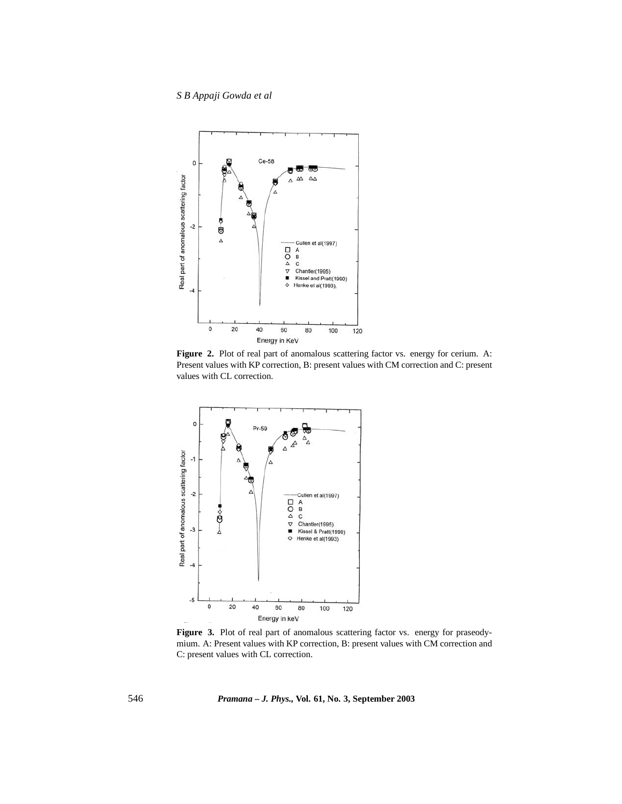

**Figure 2.** Plot of real part of anomalous scattering factor vs. energy for cerium. A: Present values with KP correction, B: present values with CM correction and C: present values with CL correction.



Figure 3. Plot of real part of anomalous scattering factor vs. energy for praseodymium. A: Present values with KP correction, B: present values with CM correction and C: present values with CL correction.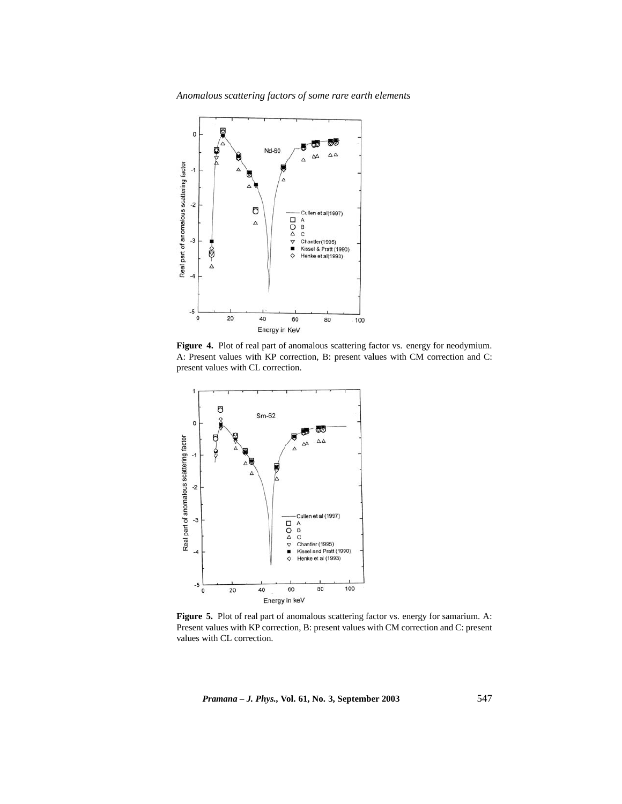

**Figure 4.** Plot of real part of anomalous scattering factor vs. energy for neodymium. A: Present values with KP correction, B: present values with CM correction and C: present values with CL correction.



Figure 5. Plot of real part of anomalous scattering factor vs. energy for samarium. A: Present values with KP correction, B: present values with CM correction and C: present values with CL correction.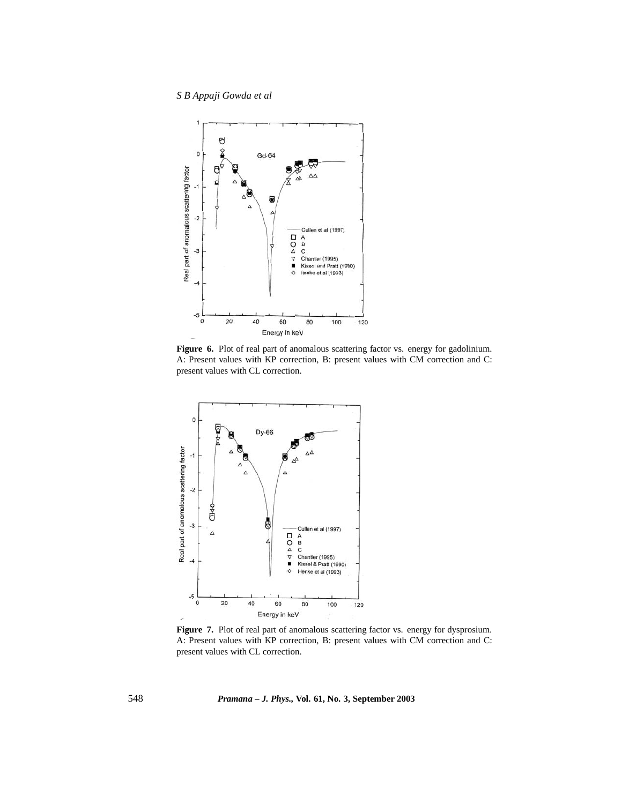

**Figure 6.** Plot of real part of anomalous scattering factor vs. energy for gadolinium. A: Present values with KP correction, B: present values with CM correction and C: present values with CL correction.



Figure 7. Plot of real part of anomalous scattering factor vs. energy for dysprosium. A: Present values with KP correction, B: present values with CM correction and C: present values with CL correction.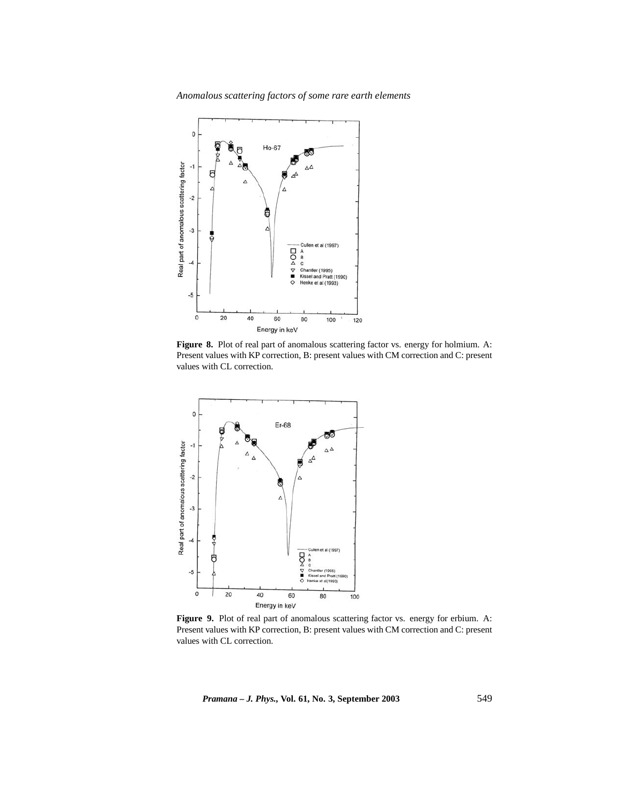

Figure 8. Plot of real part of anomalous scattering factor vs. energy for holmium. A: Present values with KP correction, B: present values with CM correction and C: present values with CL correction.



Figure 9. Plot of real part of anomalous scattering factor vs. energy for erbium. A: Present values with KP correction, B: present values with CM correction and C: present values with CL correction.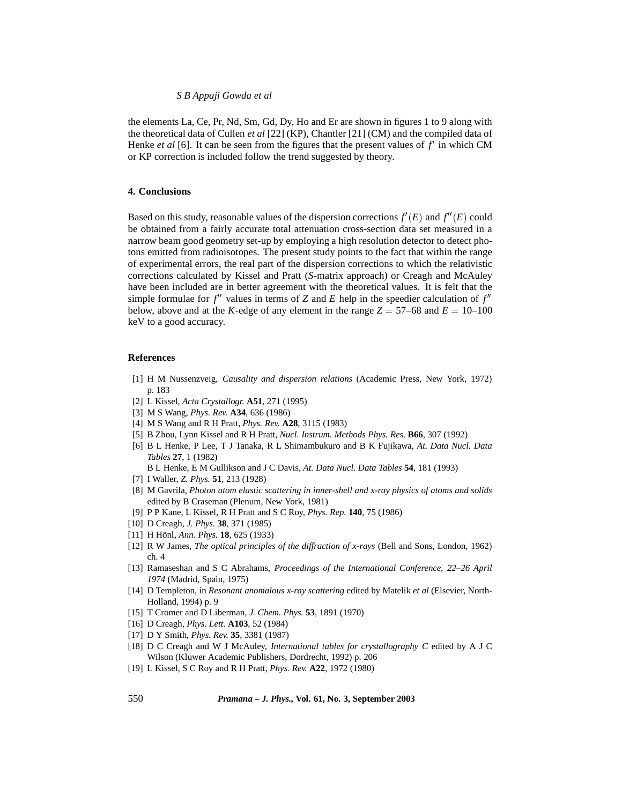the elements La, Ce, Pr, Nd, Sm, Gd, Dy, Ho and Er are shown in figures 1 to 9 along with the theoretical data of Cullen *et al* [22] (KP), Chantler [21] (CM) and the compiled data of Henke *et al* [6]. It can be seen from the figures that the present values of  $f'$  in which CM or KP correction is included follow the trend suggested by theory.

## **4. Conclusions**

Based on this study, reasonable values of the dispersion corrections  $f'(E)$  and  $f''(E)$  could be obtained from a fairly accurate total attenuation cross-section data set measured in a narrow beam good geometry set-up by employing a high resolution detector to detect photons emitted from radioisotopes. The present study points to the fact that within the range of experimental errors, the real part of the dispersion corrections to which the relativistic corrections calculated by Kissel and Pratt (*S*-matrix approach) or Creagh and McAuley have been included are in better agreement with the theoretical values. It is felt that the simple formulae for  $f''$  values in terms of *Z* and *E* help in the speedier calculation of  $f''$ below, above and at the *K*-edge of any element in the range  $Z = 57{\text -}68$  and  $E = 10{\text -}100$ keV to a good accuracy.

### **References**

- [1] H M Nussenzveig, *Causality and dispersion relations* (Academic Press, New York, 1972) p. 183
- [2] L Kissel, *Acta Crystallogr.* **A51**, 271 (1995)
- [3] M S Wang, *Phys. Rev.* **A34**, 636 (1986)
- [4] M S Wang and R H Pratt, *Phys. Rev.* **A28**, 3115 (1983)
- [5] B Zhou, Lynn Kissel and R H Pratt, *Nucl. Instrum. Methods Phys. Res.* **B66**, 307 (1992)
- [6] B L Henke, P Lee, T J Tanaka, R L Shimambukuro and B K Fujikawa, *At. Data Nucl. Data Tables* **27**, 1 (1982)
	- B L Henke, E M Gullikson and J C Davis, *At. Data Nucl. Data Tables* **54**, 181 (1993)
- [7] I Waller, *Z. Phys.* **51**, 213 (1928)
- [8] M Gavrila, *Photon atom elastic scattering in inner-shell and x-ray physics of atoms and solids* edited by B Craseman (Plenum, New York, 1981)
- [9] P P Kane, L Kissel, R H Pratt and S C Roy, *Phys. Rep.* **140**, 75 (1986)
- [10] D Creagh, *J. Phys.* **38**, 371 (1985)
- [11] H Hönl, *Ann. Phys.* **18**, 625 (1933)
- [12] R W James, *The optical principles of the diffraction of x-rays* (Bell and Sons, London, 1962) ch. 4
- [13] Ramaseshan and S C Abrahams, *Proceedings of the International Conference, 22–26 April 1974* (Madrid, Spain, 1975)
- [14] D Templeton, in *Resonant anomalous x-ray scattering* edited by Matelik *et al* (Elsevier, North-Holland, 1994) p. 9
- [15] T Cromer and D Liberman, *J. Chem. Phys.* **53**, 1891 (1970)
- [16] D Creagh, *Phys. Lett.* **A103**, 52 (1984)
- [17] D Y Smith, *Phys. Rev.* **35**, 3381 (1987)
- [18] D C Creagh and W J McAuley, *International tables for crystallography C* edited by A J C Wilson (Kluwer Academic Publishers, Dordrecht, 1992) p. 206
- [19] L Kissel, S C Roy and R H Pratt, *Phys. Rev.* **A22**, 1972 (1980)